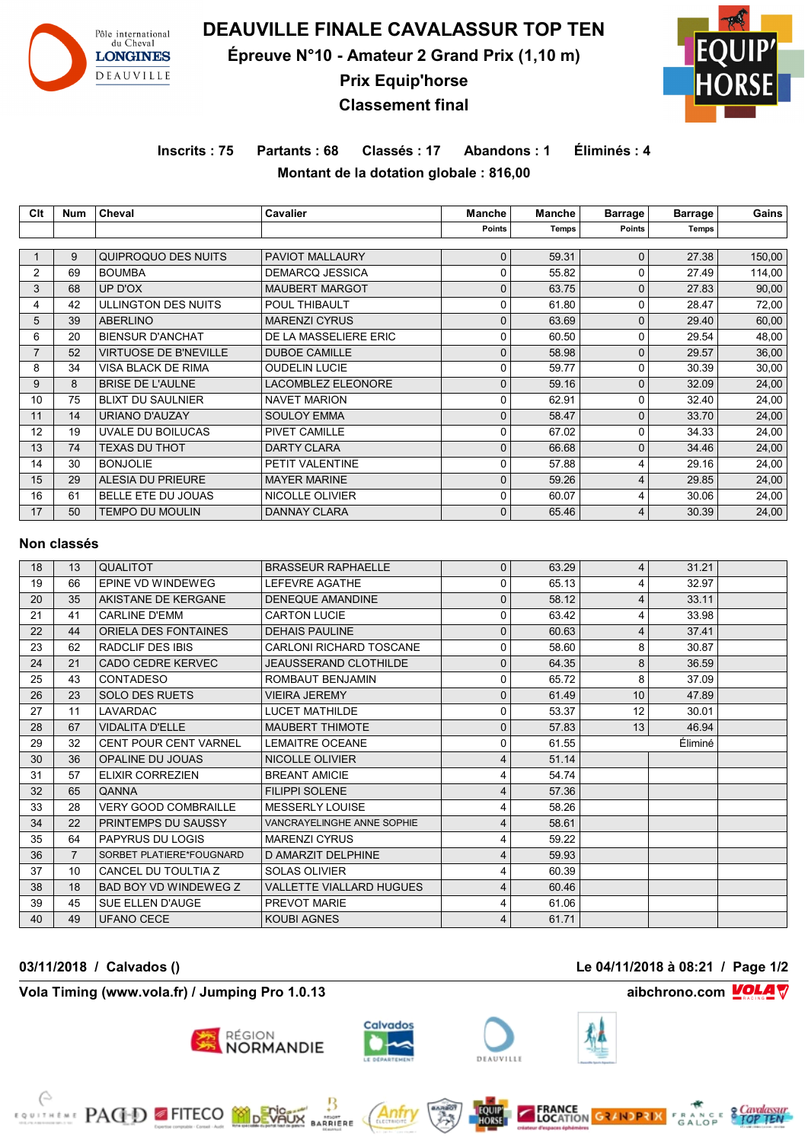

**DEAUVILLE FINALE CAVALASSUR TOP TEN**

**Épreuve N°10 - Amateur 2 Grand Prix (1,10 m)**

**Prix Equip'horse**



**Classement final**

**Inscrits : 75 Partants : 68 Classés : 17 Abandons : 1 Éliminés : 4 Montant de la dotation globale : 816,00**

| Clt            | <b>Num</b> | Cheval                       | Cavalier                  | Manche | Manche       | <b>Barrage</b> | <b>Barrage</b> | Gains  |  |  |
|----------------|------------|------------------------------|---------------------------|--------|--------------|----------------|----------------|--------|--|--|
|                |            |                              |                           | Points | <b>Temps</b> | <b>Points</b>  | Temps          |        |  |  |
|                |            |                              |                           |        |              |                |                |        |  |  |
|                | 9          | QUIPROQUO DES NUITS          | PAVIOT MALLAURY           | 0      | 59.31        | 0              | 27.38          | 150,00 |  |  |
| $\overline{2}$ | 69         | <b>BOUMBA</b>                | <b>DEMARCQ JESSICA</b>    | 0      | 55.82        | 0              | 27.49          | 114,00 |  |  |
| 3              | 68         | UP D'OX                      | <b>MAUBERT MARGOT</b>     | 0      | 63.75        | 0              | 27.83          | 90,00  |  |  |
| 4              | 42         | ULLINGTON DES NUITS          | POUL THIBAULT             | 0      | 61.80        | 0              | 28.47          | 72,00  |  |  |
| 5              | 39         | <b>ABERLINO</b>              | <b>MARENZI CYRUS</b>      | 0      | 63.69        | $\Omega$       | 29.40          | 60,00  |  |  |
| 6              | 20         | <b>BIENSUR D'ANCHAT</b>      | DE LA MASSELIERE ERIC     | 0      | 60.50        | 0              | 29.54          | 48,00  |  |  |
| $\overline{7}$ | 52         | <b>VIRTUOSE DE B'NEVILLE</b> | <b>DUBOE CAMILLE</b>      | 0      | 58.98        | $\Omega$       | 29.57          | 36,00  |  |  |
| 8              | 34         | VISA BLACK DE RIMA           | <b>OUDELIN LUCIE</b>      | 0      | 59.77        | U              | 30.39          | 30,00  |  |  |
| 9              | 8          | <b>BRISE DE L'AULNE</b>      | <b>LACOMBLEZ ELEONORE</b> | 0      | 59.16        | 0              | 32.09          | 24,00  |  |  |
| 10             | 75         | <b>BLIXT DU SAULNIER</b>     | <b>NAVET MARION</b>       | 0      | 62.91        | 0              | 32.40          | 24,00  |  |  |
| 11             | 14         | <b>URIANO D'AUZAY</b>        | <b>SOULOY EMMA</b>        | 0      | 58.47        | $\Omega$       | 33.70          | 24,00  |  |  |
| 12             | 19         | UVALE DU BOILUCAS            | <b>PIVET CAMILLE</b>      | 0      | 67.02        | 0              | 34.33          | 24,00  |  |  |
| 13             | 74         | <b>TEXAS DU THOT</b>         | <b>DARTY CLARA</b>        | 0      | 66.68        | 0              | 34.46          | 24,00  |  |  |
| 14             | 30         | <b>BONJOLIE</b>              | PETIT VALENTINE           | 0      | 57.88        | 4              | 29.16          | 24,00  |  |  |
| 15             | 29         | <b>ALESIA DU PRIEURE</b>     | <b>MAYER MARINE</b>       | 0      | 59.26        | 4              | 29.85          | 24,00  |  |  |
| 16             | 61         | BELLE ETE DU JOUAS           | NICOLLE OLIVIER           | 0      | 60.07        | 4              | 30.06          | 24,00  |  |  |
| 17             | 50         | <b>TEMPO DU MOULIN</b>       | <b>DANNAY CLARA</b>       | 0      | 65.46        | 4              | 30.39          | 24,00  |  |  |

### **Non classés**

| 18 | 13             | <b>QUALITOT</b>              | <b>BRASSEUR RAPHAELLE</b>       | $\mathbf{0}$ | 63.29 | $\overline{4}$ | 31.21   |  |
|----|----------------|------------------------------|---------------------------------|--------------|-------|----------------|---------|--|
| 19 | 66             | EPINE VD WINDEWEG            | <b>LEFEVRE AGATHE</b>           | 0            | 65.13 | 4              | 32.97   |  |
| 20 | 35             | AKISTANE DE KERGANE          | <b>DENEQUE AMANDINE</b>         | 0            | 58.12 | 4              | 33.11   |  |
| 21 | 41             | <b>CARLINE D'EMM</b>         | <b>CARTON LUCIE</b>             | 0            | 63.42 | 4              | 33.98   |  |
| 22 | 44             | ORIELA DES FONTAINES         | <b>DEHAIS PAULINE</b>           | 0            | 60.63 | 4              | 37.41   |  |
| 23 | 62             | <b>RADCLIF DES IBIS</b>      | <b>CARLONI RICHARD TOSCANE</b>  | 0            | 58.60 | 8              | 30.87   |  |
| 24 | 21             | <b>CADO CEDRE KERVEC</b>     | <b>JEAUSSERAND CLOTHILDE</b>    | 0            | 64.35 | 8              | 36.59   |  |
| 25 | 43             | CONTADESO                    | ROMBAUT BENJAMIN                | 0            | 65.72 | 8              | 37.09   |  |
| 26 | 23             | <b>SOLO DES RUETS</b>        | <b>VIEIRA JEREMY</b>            | 0            | 61.49 | 10             | 47.89   |  |
| 27 | 11             | LAVARDAC                     | <b>LUCET MATHILDE</b>           | 0            | 53.37 | 12             | 30.01   |  |
| 28 | 67             | <b>VIDALITA D'ELLE</b>       | <b>MAUBERT THIMOTE</b>          | $\Omega$     | 57.83 | 13             | 46.94   |  |
| 29 | 32             | <b>CENT POUR CENT VARNEL</b> | <b>LEMAITRE OCEANE</b>          | 0            | 61.55 |                | Éliminé |  |
| 30 | 36             | OPALINE DU JOUAS             | NICOLLE OLIVIER                 | 4            | 51.14 |                |         |  |
| 31 | 57             | <b>ELIXIR CORREZIEN</b>      | <b>BREANT AMICIE</b>            | 4            | 54.74 |                |         |  |
| 32 | 65             | <b>OANNA</b>                 | <b>FILIPPI SOLENE</b>           | 4            | 57.36 |                |         |  |
| 33 | 28             | <b>VERY GOOD COMBRAILLE</b>  | <b>MESSERLY LOUISE</b>          |              | 58.26 |                |         |  |
| 34 | 22             | PRINTEMPS DU SAUSSY          | VANCRAYELINGHE ANNE SOPHIE      | 4            | 58.61 |                |         |  |
| 35 | 64             | PAPYRUS DU LOGIS             | <b>MARENZI CYRUS</b>            |              | 59.22 |                |         |  |
| 36 | $\overline{7}$ | SORBET PLATIERE*FOUGNARD     | D AMARZIT DELPHINE              | 4            | 59.93 |                |         |  |
| 37 | 10             | CANCEL DU TOULTIA Z          | <b>SOLAS OLIVIER</b>            | 4            | 60.39 |                |         |  |
| 38 | 18             | BAD BOY VD WINDEWEG Z        | <b>VALLETTE VIALLARD HUGUES</b> | 4            | 60.46 |                |         |  |
| 39 | 45             | SUE ELLEN D'AUGE             | PREVOT MARIE                    | 4            | 61.06 |                |         |  |
| 40 | 49             | <b>UFANO CECE</b>            | <b>KOUBI AGNES</b>              | 4            | 61.71 |                |         |  |
|    |                |                              |                                 |              |       |                |         |  |

**Vola Timing (www.vola.fr) / Jumping Pro 1.0.13 aibchrono.com VOLA** 

**EXAMPLE PAGED FITECO MODEVALIX** 



**MIGHT**<br>RRIERE

**RÉGION<br>NORMANDIE** 





**03/11/2018 / Calvados () Le 04/11/2018 à 08:21 / Page 1/2**